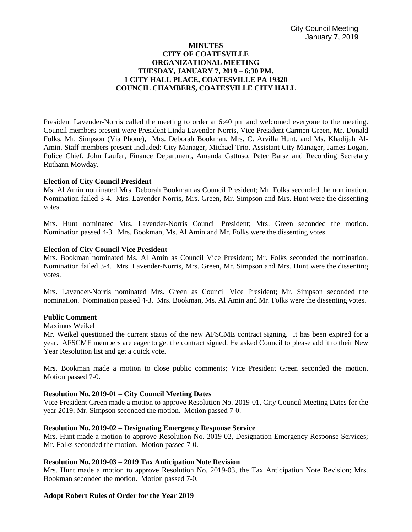# **MINUTES CITY OF COATESVILLE ORGANIZATIONAL MEETING TUESDAY, JANUARY 7, 2019 – 6:30 PM. 1 CITY HALL PLACE, COATESVILLE PA 19320 COUNCIL CHAMBERS, COATESVILLE CITY HALL**

President Lavender-Norris called the meeting to order at 6:40 pm and welcomed everyone to the meeting. Council members present were President Linda Lavender-Norris, Vice President Carmen Green, Mr. Donald Folks, Mr. Simpson (Via Phone), Mrs. Deborah Bookman, Mrs. C. Arvilla Hunt, and Ms. Khadijah Al-Amin. Staff members present included: City Manager, Michael Trio, Assistant City Manager, James Logan, Police Chief, John Laufer, Finance Department, Amanda Gattuso, Peter Barsz and Recording Secretary Ruthann Mowday.

## **Election of City Council President**

Ms. Al Amin nominated Mrs. Deborah Bookman as Council President; Mr. Folks seconded the nomination. Nomination failed 3-4. Mrs. Lavender-Norris, Mrs. Green, Mr. Simpson and Mrs. Hunt were the dissenting votes.

Mrs. Hunt nominated Mrs. Lavender-Norris Council President; Mrs. Green seconded the motion. Nomination passed 4-3. Mrs. Bookman, Ms. Al Amin and Mr. Folks were the dissenting votes.

## **Election of City Council Vice President**

Mrs. Bookman nominated Ms. Al Amin as Council Vice President; Mr. Folks seconded the nomination. Nomination failed 3-4. Mrs. Lavender-Norris, Mrs. Green, Mr. Simpson and Mrs. Hunt were the dissenting votes.

Mrs. Lavender-Norris nominated Mrs. Green as Council Vice President; Mr. Simpson seconded the nomination. Nomination passed 4-3. Mrs. Bookman, Ms. Al Amin and Mr. Folks were the dissenting votes.

### **Public Comment**

### Maximus Weikel

Mr. Weikel questioned the current status of the new AFSCME contract signing. It has been expired for a year. AFSCME members are eager to get the contract signed. He asked Council to please add it to their New Year Resolution list and get a quick vote.

Mrs. Bookman made a motion to close public comments; Vice President Green seconded the motion. Motion passed 7-0.

### **Resolution No. 2019-01 – City Council Meeting Dates**

Vice President Green made a motion to approve Resolution No. 2019-01, City Council Meeting Dates for the year 2019; Mr. Simpson seconded the motion. Motion passed 7-0.

### **Resolution No. 2019-02 – Designating Emergency Response Service**

Mrs. Hunt made a motion to approve Resolution No. 2019-02, Designation Emergency Response Services; Mr. Folks seconded the motion. Motion passed 7-0.

# **Resolution No. 2019-03 – 2019 Tax Anticipation Note Revision**

Mrs. Hunt made a motion to approve Resolution No. 2019-03, the Tax Anticipation Note Revision; Mrs. Bookman seconded the motion. Motion passed 7-0.

### **Adopt Robert Rules of Order for the Year 2019**